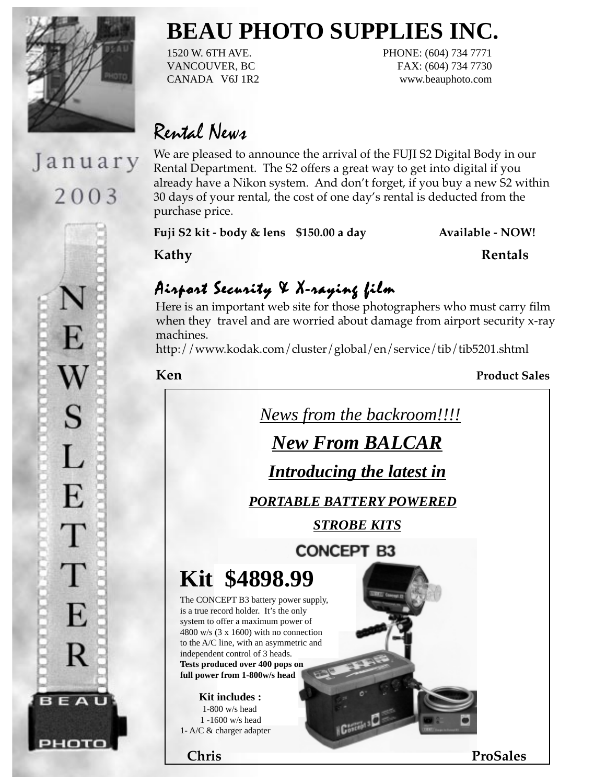

January

2003

E

W

 $S$ 

L

E

T

T

E

R

BEAU

чото

# Rental News

We are pleased to announce the arrival of the FUJI S2 Digital Body in our Rental Department. The S2 offers a great way to get into digital if you already have a Nikon system. And don't forget, if you buy a new S2 within 30 days of your rental, the cost of one day's rental is deducted from the purchase price.

**BEAU PHOTO SUPPLIES INC.**

1520 W. 6TH AVE. PHONE: (604) 734 7771 VANCOUVER, BC FAX: (604) 734 7730 CANADA V6J 1R2 www.beauphoto.com

Fuji S2 kit - body & lens \$150.00 a day **Available - NOW!** 

**Kathy Rentals**

## Airport Security & X-raying film

Here is an important web site for those photographers who must carry film when they travel and are worried about damage from airport security x-ray machines.

http://www.kodak.com/cluster/global/en/service/tib/tib5201.shtml